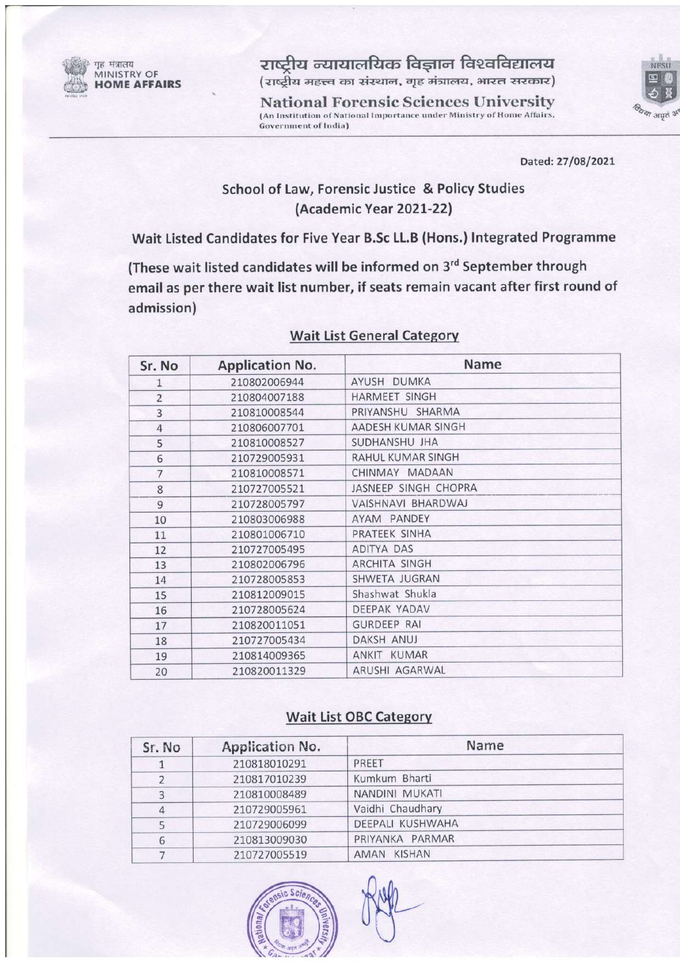

राष्ट्रीय न्यायालयिक विज्ञान विश्वविद्यालय (राष्ट्रीय महत्त्व का संस्थान, गृह मंत्रालय, भारत सरकार)

**National Forensic Sciences University** (An Institution of National Importance under Ministry of Home Affairs, **Government of India)** 



Dated: 27/08/2021

# School of Law, Forensic Justice & Policy Studies (Academic Year 2021-22)

Wait Listed Candidates for Five Year B.Sc LL.B (Hons.) Integrated Programme

(These wait listed candidates will be informed on 3rd September through email as per there wait list number, if seats remain vacant after first round of admission)

| Sr. No         | <b>Application No.</b> | Name                     |  |
|----------------|------------------------|--------------------------|--|
| 1              | 210802006944           | AYUSH DUMKA              |  |
| $\overline{c}$ | 210804007188           | <b>HARMEET SINGH</b>     |  |
| 3              | 210810008544           | PRIYANSHU SHARMA         |  |
| $\overline{4}$ | 210806007701           | AADESH KUMAR SINGH       |  |
| 5              | 210810008527           | SUDHANSHU JHA            |  |
| 6              | 210729005931           | <b>RAHUL KUMAR SINGH</b> |  |
| $\overline{7}$ | 210810008571           | CHINMAY MADAAN           |  |
| 8              | 210727005521           | JASNEEP SINGH CHOPRA     |  |
| 9              | 210728005797           | VAISHNAVI BHARDWAJ       |  |
| 10             | 210803006988           | AYAM PANDEY              |  |
| 11             | 210801006710           | PRATEEK SINHA            |  |
| 12             | 210727005495           | ADITYA DAS               |  |
| 13             | 210802006796           | <b>ARCHITA SINGH</b>     |  |
| 14             | 210728005853           | SHWETA JUGRAN            |  |
| 15             | 210812009015           | Shashwat Shukla          |  |
| 16             | 210728005624           | DEEPAK YADAV             |  |
| 17             | 210820011051           | <b>GURDEEP RAI</b>       |  |
| 18             | 210727005434           | <b>DAKSH ANUJ</b>        |  |
| 19             | 210814009365           | ANKIT KUMAR              |  |
| 20             | 210820011329           | ARUSHI AGARWAL           |  |

#### **Wait List General Category**

#### **Wait List OBC Category**

| Sr. No | <b>Application No.</b> | Name             |
|--------|------------------------|------------------|
|        | 210818010291           | PREET            |
|        | 210817010239           | Kumkum Bharti    |
| 3      | 210810008489           | NANDINI MUKATI   |
| 4      | 210729005961           | Vaidhi Chaudhary |
|        | 210729006099           | DEEPALI KUSHWAHA |
| 6      | 210813009030           | PRIYANKA PARMAR  |
|        | 210727005519           | AMAN KISHAN      |